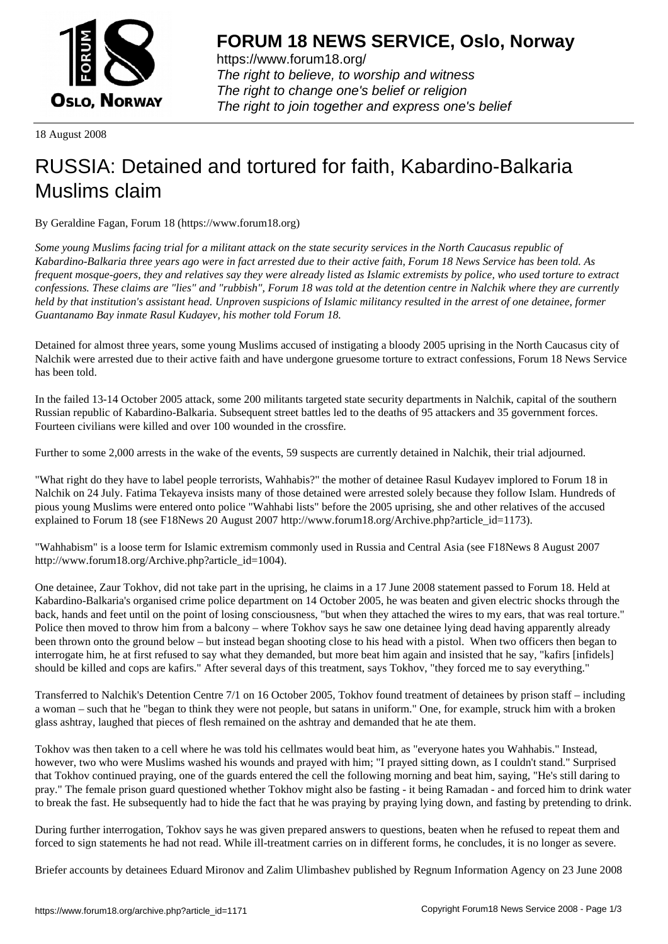

https://www.forum18.org/ The right to believe, to worship and witness The right to change one's belief or religion [The right to join together a](https://www.forum18.org/)nd express one's belief

18 August 2008

## [RUSSIA: Detain](https://www.forum18.org)ed and tortured for faith, Kabardino-Balkaria Muslims claim

By Geraldine Fagan, Forum 18 (https://www.forum18.org)

*Some young Muslims facing trial for a militant attack on the state security services in the North Caucasus republic of Kabardino-Balkaria three years ago were in fact arrested due to their active faith, Forum 18 News Service has been told. As frequent mosque-goers, they and relatives say they were already listed as Islamic extremists by police, who used torture to extract confessions. These claims are "lies" and "rubbish", Forum 18 was told at the detention centre in Nalchik where they are currently held by that institution's assistant head. Unproven suspicions of Islamic militancy resulted in the arrest of one detainee, former Guantanamo Bay inmate Rasul Kudayev, his mother told Forum 18.*

Detained for almost three years, some young Muslims accused of instigating a bloody 2005 uprising in the North Caucasus city of Nalchik were arrested due to their active faith and have undergone gruesome torture to extract confessions, Forum 18 News Service has been told.

In the failed 13-14 October 2005 attack, some 200 militants targeted state security departments in Nalchik, capital of the southern Russian republic of Kabardino-Balkaria. Subsequent street battles led to the deaths of 95 attackers and 35 government forces. Fourteen civilians were killed and over 100 wounded in the crossfire.

Further to some 2,000 arrests in the wake of the events, 59 suspects are currently detained in Nalchik, their trial adjourned.

"What right do they have to label people terrorists, Wahhabis?" the mother of detainee Rasul Kudayev implored to Forum 18 in Nalchik on 24 July. Fatima Tekayeva insists many of those detained were arrested solely because they follow Islam. Hundreds of pious young Muslims were entered onto police "Wahhabi lists" before the 2005 uprising, she and other relatives of the accused explained to Forum 18 (see F18News 20 August 2007 http://www.forum18.org/Archive.php?article\_id=1173).

"Wahhabism" is a loose term for Islamic extremism commonly used in Russia and Central Asia (see F18News 8 August 2007 http://www.forum18.org/Archive.php?article\_id=1004).

One detainee, Zaur Tokhov, did not take part in the uprising, he claims in a 17 June 2008 statement passed to Forum 18. Held at Kabardino-Balkaria's organised crime police department on 14 October 2005, he was beaten and given electric shocks through the back, hands and feet until on the point of losing consciousness, "but when they attached the wires to my ears, that was real torture." Police then moved to throw him from a balcony – where Tokhov says he saw one detainee lying dead having apparently already been thrown onto the ground below – but instead began shooting close to his head with a pistol. When two officers then began to interrogate him, he at first refused to say what they demanded, but more beat him again and insisted that he say, "kafirs [infidels] should be killed and cops are kafirs." After several days of this treatment, says Tokhov, "they forced me to say everything."

Transferred to Nalchik's Detention Centre 7/1 on 16 October 2005, Tokhov found treatment of detainees by prison staff – including a woman – such that he "began to think they were not people, but satans in uniform." One, for example, struck him with a broken glass ashtray, laughed that pieces of flesh remained on the ashtray and demanded that he ate them.

Tokhov was then taken to a cell where he was told his cellmates would beat him, as "everyone hates you Wahhabis." Instead, however, two who were Muslims washed his wounds and prayed with him; "I prayed sitting down, as I couldn't stand." Surprised that Tokhov continued praying, one of the guards entered the cell the following morning and beat him, saying, "He's still daring to pray." The female prison guard questioned whether Tokhov might also be fasting - it being Ramadan - and forced him to drink water to break the fast. He subsequently had to hide the fact that he was praying by praying lying down, and fasting by pretending to drink.

During further interrogation, Tokhov says he was given prepared answers to questions, beaten when he refused to repeat them and forced to sign statements he had not read. While ill-treatment carries on in different forms, he concludes, it is no longer as severe.

Briefer accounts by detainees Eduard Mironov and Zalim Ulimbashev published by Regnum Information Agency on 23 June 2008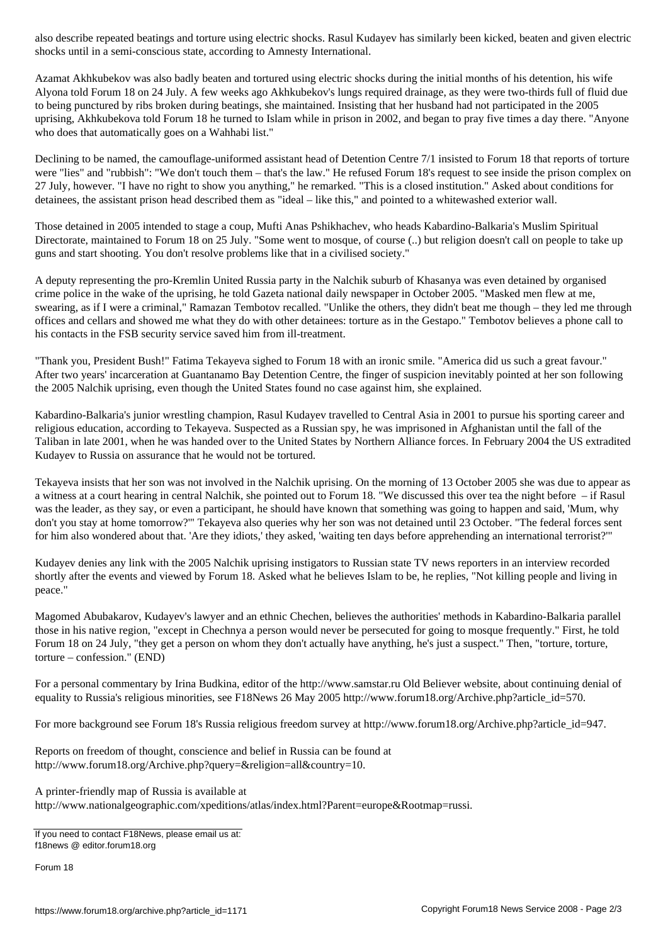shocks until in a semi-conscious state, according to Amnesty International.

Azamat Akhkubekov was also badly beaten and tortured using electric shocks during the initial months of his detention, his wife Alyona told Forum 18 on 24 July. A few weeks ago Akhkubekov's lungs required drainage, as they were two-thirds full of fluid due to being punctured by ribs broken during beatings, she maintained. Insisting that her husband had not participated in the 2005 uprising, Akhkubekova told Forum 18 he turned to Islam while in prison in 2002, and began to pray five times a day there. "Anyone who does that automatically goes on a Wahhabi list."

Declining to be named, the camouflage-uniformed assistant head of Detention Centre 7/1 insisted to Forum 18 that reports of torture were "lies" and "rubbish": "We don't touch them – that's the law." He refused Forum 18's request to see inside the prison complex on 27 July, however. "I have no right to show you anything," he remarked. "This is a closed institution." Asked about conditions for detainees, the assistant prison head described them as "ideal – like this," and pointed to a whitewashed exterior wall.

Those detained in 2005 intended to stage a coup, Mufti Anas Pshikhachev, who heads Kabardino-Balkaria's Muslim Spiritual Directorate, maintained to Forum 18 on 25 July. "Some went to mosque, of course (..) but religion doesn't call on people to take up guns and start shooting. You don't resolve problems like that in a civilised society."

A deputy representing the pro-Kremlin United Russia party in the Nalchik suburb of Khasanya was even detained by organised crime police in the wake of the uprising, he told Gazeta national daily newspaper in October 2005. "Masked men flew at me, swearing, as if I were a criminal," Ramazan Tembotov recalled. "Unlike the others, they didn't beat me though – they led me through offices and cellars and showed me what they do with other detainees: torture as in the Gestapo." Tembotov believes a phone call to his contacts in the FSB security service saved him from ill-treatment.

"Thank you, President Bush!" Fatima Tekayeva sighed to Forum 18 with an ironic smile. "America did us such a great favour." After two years' incarceration at Guantanamo Bay Detention Centre, the finger of suspicion inevitably pointed at her son following the 2005 Nalchik uprising, even though the United States found no case against him, she explained.

Kabardino-Balkaria's junior wrestling champion, Rasul Kudayev travelled to Central Asia in 2001 to pursue his sporting career and religious education, according to Tekayeva. Suspected as a Russian spy, he was imprisoned in Afghanistan until the fall of the Taliban in late 2001, when he was handed over to the United States by Northern Alliance forces. In February 2004 the US extradited Kudayev to Russia on assurance that he would not be tortured.

Tekayeva insists that her son was not involved in the Nalchik uprising. On the morning of 13 October 2005 she was due to appear as a witness at a court hearing in central Nalchik, she pointed out to Forum 18. "We discussed this over tea the night before – if Rasul was the leader, as they say, or even a participant, he should have known that something was going to happen and said, 'Mum, why don't you stay at home tomorrow?'" Tekayeva also queries why her son was not detained until 23 October. "The federal forces sent for him also wondered about that. 'Are they idiots,' they asked, 'waiting ten days before apprehending an international terrorist?'"

Kudayev denies any link with the 2005 Nalchik uprising instigators to Russian state TV news reporters in an interview recorded shortly after the events and viewed by Forum 18. Asked what he believes Islam to be, he replies, "Not killing people and living in peace."

Magomed Abubakarov, Kudayev's lawyer and an ethnic Chechen, believes the authorities' methods in Kabardino-Balkaria parallel those in his native region, "except in Chechnya a person would never be persecuted for going to mosque frequently." First, he told Forum 18 on 24 July, "they get a person on whom they don't actually have anything, he's just a suspect." Then, "torture, torture, torture – confession." (END)

For a personal commentary by Irina Budkina, editor of the http://www.samstar.ru Old Believer website, about continuing denial of equality to Russia's religious minorities, see F18News 26 May 2005 http://www.forum18.org/Archive.php?article\_id=570.

For more background see Forum 18's Russia religious freedom survey at http://www.forum18.org/Archive.php?article\_id=947.

Reports on freedom of thought, conscience and belief in Russia can be found at http://www.forum18.org/Archive.php?query=&religion=all&country=10.

A printer-friendly map of Russia is available at http://www.nationalgeographic.com/xpeditions/atlas/index.html?Parent=europe&Rootmap=russi.

If you need to contact F18News, please email us at: f18news @ editor.forum18.org

Forum 18